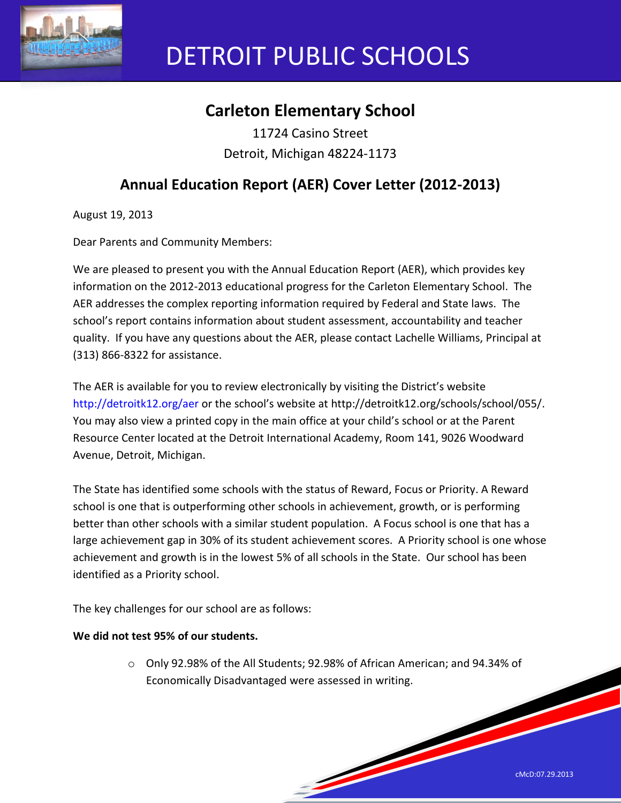

# DETROIT PUBLIC SCHOOLS

## **Carleton Elementary School**

11724 Casino Street Detroit, Michigan 48224-1173

## **Annual Education Report (AER) Cover Letter (2012-2013)**

August 19, 2013

Dear Parents and Community Members:

We are pleased to present you with the Annual Education Report (AER), which provides key information on the 2012-2013 educational progress for the Carleton Elementary School. The AER addresses the complex reporting information required by Federal and State laws. The school's report contains information about student assessment, accountability and teacher quality. If you have any questions about the AER, please contact Lachelle Williams, Principal at (313) 866-8322 for assistance.

The AER is available for you to review electronically by visiting the District's website http://detroitk12.org/aer or the school's website at http://detroitk12.org/schools/school/055/. You may also view a printed copy in the main office at your child's school or at the Parent Resource Center located at the Detroit International Academy, Room 141, 9026 Woodward Avenue, Detroit, Michigan.

The State has identified some schools with the status of Reward, Focus or Priority. A Reward school is one that is outperforming other schools in achievement, growth, or is performing better than other schools with a similar student population. A Focus school is one that has a large achievement gap in 30% of its student achievement scores. A Priority school is one whose achievement and growth is in the lowest 5% of all schools in the State. Our school has been identified as a Priority school.

The key challenges for our school are as follows:

#### **We did not test 95% of our students.**

o Only 92.98% of the All Students; 92.98% of African American; and 94.34% of Economically Disadvantaged were assessed in writing.

<u>Service Service Service Service Service Service Service Service Service Service Service Service Service Service Service Service Service Service Service Service Service Service Service Service Service Service Service Servi</u>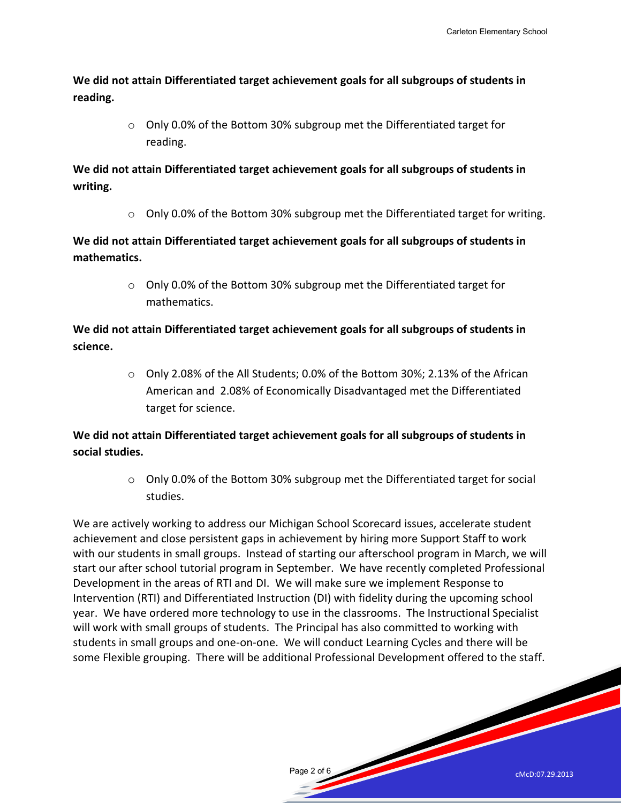**We did not attain Differentiated target achievement goals for all subgroups of students in reading.** 

> o Only 0.0% of the Bottom 30% subgroup met the Differentiated target for reading.

**We did not attain Differentiated target achievement goals for all subgroups of students in writing.** 

 $\circ$  Only 0.0% of the Bottom 30% subgroup met the Differentiated target for writing.

**We did not attain Differentiated target achievement goals for all subgroups of students in mathematics.** 

> o Only 0.0% of the Bottom 30% subgroup met the Differentiated target for mathematics.

**We did not attain Differentiated target achievement goals for all subgroups of students in science.** 

> $\circ$  Only 2.08% of the All Students; 0.0% of the Bottom 30%; 2.13% of the African American and 2.08% of Economically Disadvantaged met the Differentiated target for science.

**We did not attain Differentiated target achievement goals for all subgroups of students in social studies.** 

> o Only 0.0% of the Bottom 30% subgroup met the Differentiated target for social studies.

> > Page 2 of 6

We are actively working to address our Michigan School Scorecard issues, accelerate student achievement and close persistent gaps in achievement by hiring more Support Staff to work with our students in small groups. Instead of starting our afterschool program in March, we will start our after school tutorial program in September. We have recently completed Professional Development in the areas of RTI and DI. We will make sure we implement Response to Intervention (RTI) and Differentiated Instruction (DI) with fidelity during the upcoming school year. We have ordered more technology to use in the classrooms. The Instructional Specialist will work with small groups of students. The Principal has also committed to working with students in small groups and one-on-one. We will conduct Learning Cycles and there will be some Flexible grouping. There will be additional Professional Development offered to the staff.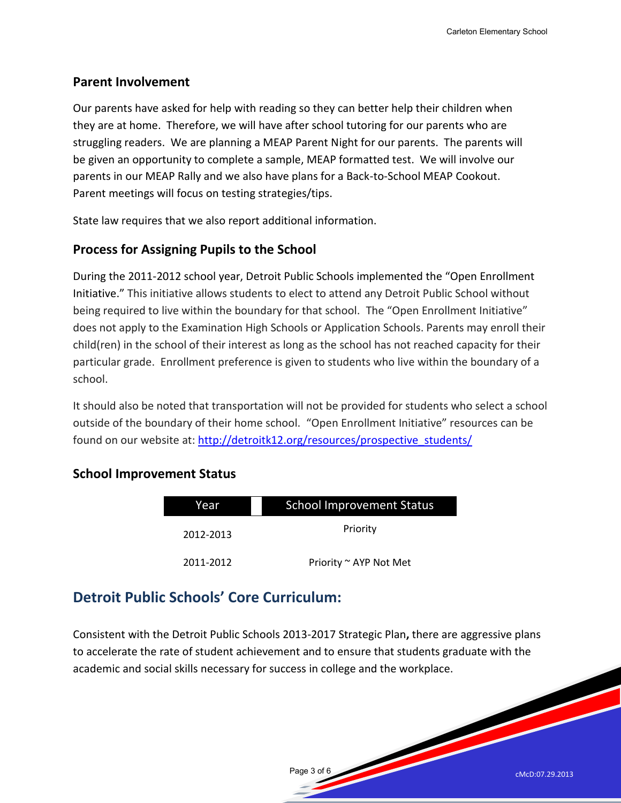#### **Parent Involvement**

Our parents have asked for help with reading so they can better help their children when they are at home. Therefore, we will have after school tutoring for our parents who are struggling readers. We are planning a MEAP Parent Night for our parents. The parents will be given an opportunity to complete a sample, MEAP formatted test. We will involve our parents in our MEAP Rally and we also have plans for a Back-to-School MEAP Cookout. Parent meetings will focus on testing strategies/tips.

State law requires that we also report additional information.

#### **Process for Assigning Pupils to the School**

During the 2011-2012 school year, Detroit Public Schools implemented the "Open Enrollment Initiative." This initiative allows students to elect to attend any Detroit Public School without being required to live within the boundary for that school. The "Open Enrollment Initiative" does not apply to the Examination High Schools or Application Schools. Parents may enroll their child(ren) in the school of their interest as long as the school has not reached capacity for their particular grade. Enrollment preference is given to students who live within the boundary of a school.

It should also be noted that transportation will not be provided for students who select a school outside of the boundary of their home school. "Open Enrollment Initiative" resources can be found on our website at: [http://detroitk12.org/resources/prospective\\_students/](http://detroitk12.org/resources/prospective_students/)

#### **School Improvement Status**

| Year      | <b>School Improvement Status</b> |  |
|-----------|----------------------------------|--|
|           |                                  |  |
| 2012-2013 | Priority                         |  |
| 2011-2012 | Priority ~ AYP Not Met           |  |

### **Detroit Public Schools' Core Curriculum:**

Consistent with the Detroit Public Schools 2013-2017 Strategic Plan**,** there are aggressive plans to accelerate the rate of student achievement and to ensure that students graduate with the academic and social skills necessary for success in college and the workplace.

Page 3 of 6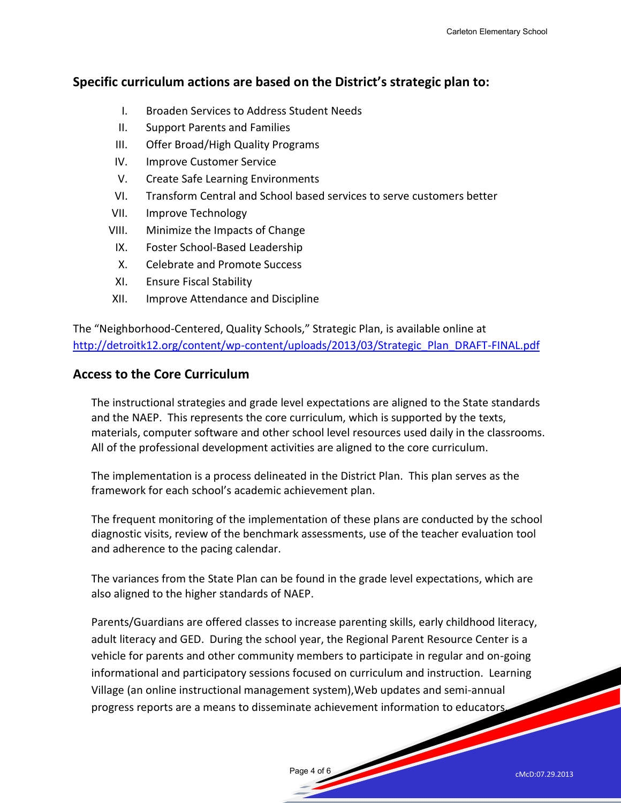#### **Specific curriculum actions are based on the District's strategic plan to:**

- I. Broaden Services to Address Student Needs
- II. Support Parents and Families
- III. Offer Broad/High Quality Programs
- IV. Improve Customer Service
- V. Create Safe Learning Environments
- VI. Transform Central and School based services to serve customers better
- VII. Improve Technology
- VIII. Minimize the Impacts of Change
- IX. Foster School-Based Leadership
- X. Celebrate and Promote Success
- XI. Ensure Fiscal Stability
- XII. Improve Attendance and Discipline

The "Neighborhood-Centered, Quality Schools," Strategic Plan, is available online at [http://detroitk12.org/content/wp-content/uploads/2013/03/Strategic\\_Plan\\_DRAFT-FINAL.pdf](http://detroitk12.org/content/wp-content/uploads/2013/03/Strategic_Plan_DRAFT-FINAL.pdf)

#### **Access to the Core Curriculum**

The instructional strategies and grade level expectations are aligned to the State standards and the NAEP. This represents the core curriculum, which is supported by the texts, materials, computer software and other school level resources used daily in the classrooms. All of the professional development activities are aligned to the core curriculum.

The implementation is a process delineated in the District Plan. This plan serves as the framework for each school's academic achievement plan.

The frequent monitoring of the implementation of these plans are conducted by the school diagnostic visits, review of the benchmark assessments, use of the teacher evaluation tool and adherence to the pacing calendar.

The variances from the State Plan can be found in the grade level expectations, which are also aligned to the higher standards of NAEP.

Parents/Guardians are offered classes to increase parenting skills, early childhood literacy, adult literacy and GED. During the school year, the Regional Parent Resource Center is a vehicle for parents and other community members to participate in regular and on-going informational and participatory sessions focused on curriculum and instruction. Learning Village (an online instructional management system),Web updates and semi-annual progress reports are a means to disseminate achievement information to educators.

Page 4 of 6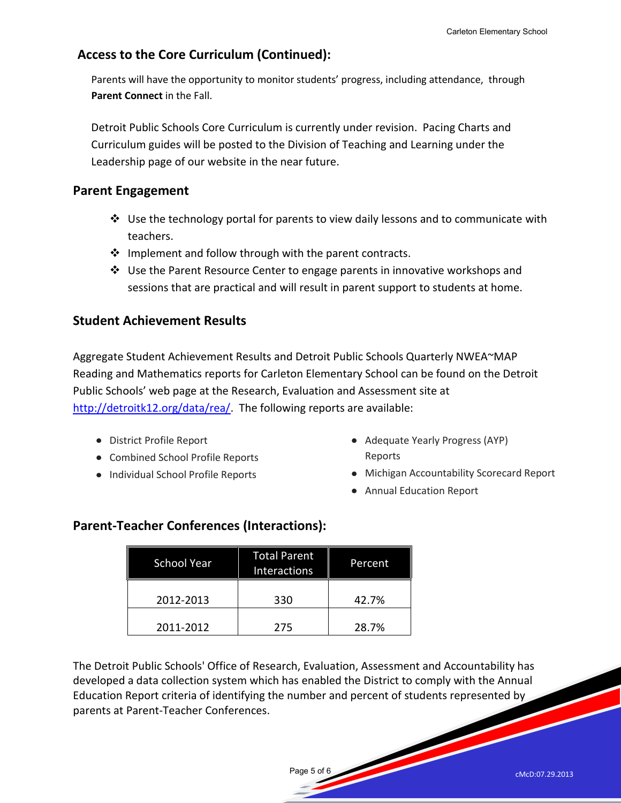#### **Access to the Core Curriculum (Continued):**

Parents will have the opportunity to monitor students' progress, including attendance, through **Parent Connect** in the Fall.

Detroit Public Schools Core Curriculum is currently under revision. Pacing Charts and Curriculum guides will be posted to the Division of Teaching and Learning under the Leadership page of our website in the near future.

#### **Parent Engagement**

- $\div$  Use the technology portal for parents to view daily lessons and to communicate with teachers.
- ❖ Implement and follow through with the parent contracts.
- $\clubsuit$  Use the Parent Resource Center to engage parents in innovative workshops and sessions that are practical and will result in parent support to students at home.

#### **Student Achievement Results**

Aggregate Student Achievement Results and Detroit Public Schools Quarterly NWEA~MAP Reading and Mathematics reports for Carleton Elementary School can be found on the Detroit Public Schools' web page at the Research, Evaluation and Assessment site at [http://detroitk12.org/data/rea/.](http://detroitk12.org/data/rea/) The following reports are available:

- District Profile Report
- Combined School Profile Reports
- Individual School Profile Reports
- Adequate Yearly Progress (AYP) Reports
- Michigan Accountability Scorecard Report
- Annual Education Report

| <b>School Year</b> | <b>Total Parent</b><br>Interactions | Percent |
|--------------------|-------------------------------------|---------|
| 2012-2013          | 330                                 | 42.7%   |
| 2011-2012          | 275                                 | 28.7%   |

#### **Parent-Teacher Conferences (Interactions):**

The Detroit Public Schools' Office of Research, Evaluation, Assessment and Accountability has developed a data collection system which has enabled the District to comply with the Annual Education Report criteria of identifying the number and percent of students represented by parents at Parent-Teacher Conferences.

Page 5 of 6